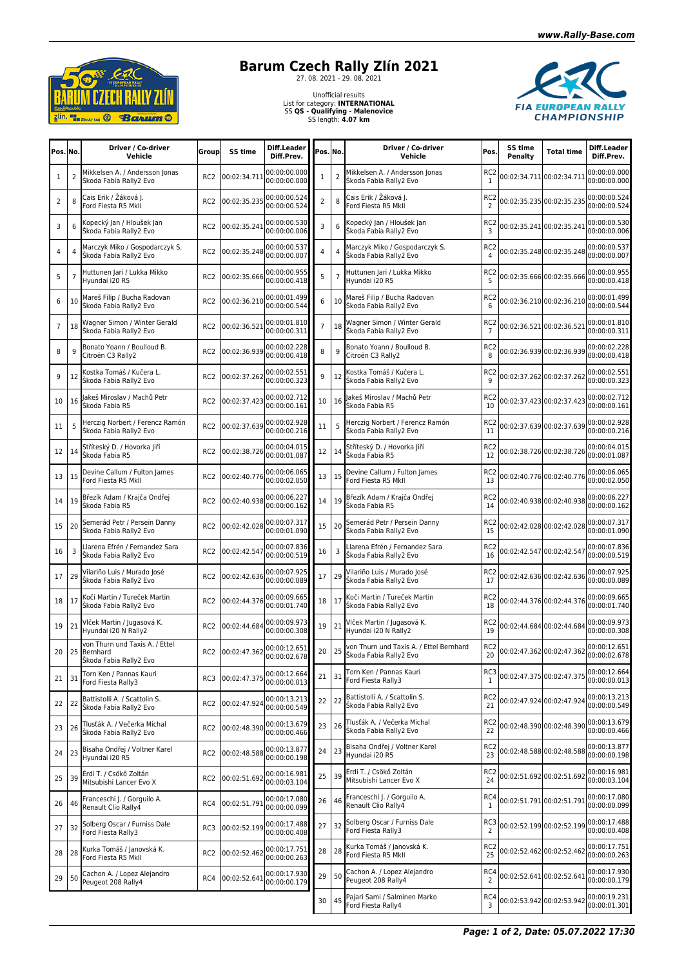

## **Barum Czech Rally Zlín 2021**

Unofficial results List for category: **INTERNATIONAL** SS **QS - Qualifying - Malenovice** SS length: **4.07 km**



| Pos. No.       |                | Driver / Co-driver<br>Vehicle                                           | Group           | SS time      | Diff.Leader<br>Diff.Prev.    | Pos. No. |                | Driver / Co-driver<br>Vehicle                                     | Pos.                  | SS time<br>Penalty        | Total time                | Diff.Leader<br>Diff.Prev.    |
|----------------|----------------|-------------------------------------------------------------------------|-----------------|--------------|------------------------------|----------|----------------|-------------------------------------------------------------------|-----------------------|---------------------------|---------------------------|------------------------------|
| 1              | $\overline{2}$ | Mikkelsen A. / Andersson Jonas<br>Škoda Fabia Rally2 Evo                | RC <sub>2</sub> | 00:02:34.711 | 00:00:00.000<br>00:00:00.000 | 1        | $\overline{2}$ | Mikkelsen A. / Andersson Jonas<br>Škoda Fabia Rally2 Evo          | RC <sub>2</sub><br>1  | 00:02:34.711 00:02:34.711 |                           | 00:00:00.000<br>00:00:00.000 |
| $\overline{2}$ | 8              | Cais Erik / Žáková J.<br>Ford Fiesta R5 Mkll                            | RC <sub>2</sub> | 00:02:35.235 | 00:00:00.524<br>00:00:00.524 | 2        | 8              | Cais Erik / Žáková J.<br>Ford Fiesta R5 Mkll                      | RC <sub>2</sub><br>2  | 00:02:35.235 00:02:35.235 |                           | 00:00:00.524<br>00:00:00.524 |
| 3              | 6              | Kopecký Jan / Hloušek Jan<br>Škoda Fabia Rally2 Evo                     | RC <sub>2</sub> | 00:02:35.241 | 00:00:00.530<br>00:00:00.006 | 3        | 6              | Kopecký Jan / Hloušek Jan<br>Škoda Fabia Rally2 Evo               | RC <sub>2</sub><br>3  | 00:02:35.241 00:02:35.241 |                           | 00:00:00.530<br>00:00:00.006 |
| 4              | 4              | Marczyk Miko / Gospodarczyk S.<br>Škoda Fabia Rally2 Evo                | RC <sub>2</sub> | 00:02:35.248 | 00:00:00.537<br>00:00:00.007 | 4        | 4              | Marczyk Miko / Gospodarczyk S.<br>Škoda Fabia Rally2 Evo          | RC <sub>2</sub>       | 00:02:35.248 00:02:35.248 |                           | 00:00:00.537<br>00:00:00.007 |
| 5              | 7              | Huttunen Jari / Lukka Mikko<br>Hyundai i20 R5                           | RC <sub>2</sub> | 00:02:35.666 | 00:00:00.955<br>00:00:00.418 | 5        | $\overline{7}$ | Huttunen Jari / Lukka Mikko<br>Hyundai i20 R5                     | RC <sub>2</sub><br>5  | 00:02:35.666 00:02:35.666 |                           | 00:00:00.955<br>00:00:00.418 |
| 6              | 10             | Mareš Filip / Bucha Radovan<br>Škoda Fabia Rally2 Evo                   | RC <sub>2</sub> | 00:02:36.210 | 00:00:01.499<br>00:00:00.544 | 6        | 10             | Mareš Filip / Bucha Radovan<br>Škoda Fabia Rally2 Evo             | RC <sub>2</sub><br>6  |                           | 00:02:36.210 00:02:36.210 | 00:00:01.499<br>00:00:00.544 |
| 7              | 18             | Wagner Simon / Winter Gerald<br>Škoda Fabia Rally2 Evo                  | RC <sub>2</sub> | 00:02:36.521 | 00:00:01.810<br>00:00:00.311 | 7        | 18             | Wagner Simon / Winter Gerald<br>Škoda Fabia Rally2 Evo            | RC <sub>2</sub>       | 00:02:36.521 00:02:36.521 |                           | 00:00:01.810<br>00:00:00.311 |
| 8              | 9              | Bonato Yoann / Boulloud B.<br>Citroën C3 Rally2                         | RC <sub>2</sub> | 00:02:36.939 | 00:00:02.228<br>00:00:00.418 | 8        | 9              | Bonato Yoann / Boulloud B.<br>Citroën C3 Rally2                   | RC <sub>2</sub><br>8  | 00:02:36.939 00:02:36.939 |                           | 00:00:02.228<br>00:00:00.418 |
| 9              | 12             | Kostka Tomáš / Kučera L.<br>Škoda Fabia Rally2 Evo                      | RC <sub>2</sub> | 00:02:37.262 | 00:00:02.551<br>00:00:00.323 | 9        | 12             | Kostka Tomáš / Kučera L.<br>Škoda Fabia Rally2 Evo                | RC <sub>2</sub><br>9  | 00:02:37.262 00:02:37.262 |                           | 00:00:02.551<br>00:00:00.323 |
| 10             | 16             | akeš Miroslav / Machů Petr<br>Škoda Fabia R5                            | RC <sub>2</sub> | 00:02:37.423 | 00:00:02.712<br>00:00:00.161 | 10       | 16             | lakeš Miroslav / Machů Petr<br>Škoda Fabia R5                     | RC <sub>2</sub><br>10 | 00:02:37.423 00:02:37.423 |                           | 00:00:02.712<br>00:00:00.161 |
| 11             | 5              | Herczig Norbert / Ferencz Ramón<br>Škoda Fabia Rally2 Evo               | RC <sub>2</sub> | 00:02:37.639 | 00:00:02.928<br>00:00:00.216 | 11       | 5              | Herczig Norbert / Ferencz Ramón<br>Škoda Fabia Rally2 Evo         | RC <sub>2</sub><br>11 | 00:02:37.639 00:02:37.639 |                           | 00:00:02.928<br>00:00:00.216 |
| 12             | 14             | Stříteský D. / Hovorka Jiří<br>Škoda Fabia R5                           | RC <sub>2</sub> | 00:02:38.726 | 00:00:04.015<br>00:00:01.087 | 12       | 14             | Stříteský D. / Hovorka Jiří<br>Škoda Fabia R5                     | RC <sub>2</sub><br>12 | 00:02:38.726 00:02:38.726 |                           | 00:00:04.015<br>00:00:01.087 |
| 13             | 15             | Devine Callum / Fulton James<br>Ford Fiesta R5 MkII                     | RC <sub>2</sub> | 00:02:40.776 | 00:00:06.065<br>00:00:02.050 | 13       | 15             | Devine Callum / Fulton James<br>Ford Fiesta R5 MkII               | RC <sub>2</sub><br>13 | 00:02:40.776 00:02:40.776 |                           | 00:00:06.065<br>00:00:02.050 |
| 14             | 19             | Březík Adam / Krajča Ondřej<br>Škoda Fabia R5                           | RC <sub>2</sub> | 00:02:40.938 | 00:00:06.227<br>00:00:00.162 | 14       | 19             | Březík Adam / Krajča Ondřej<br>Škoda Fabia R5                     | RC <sub>2</sub><br>14 |                           | 00:02:40.938 00:02:40.938 | 00:00:06.227<br>00:00:00.162 |
| 15             | 20             | Semerád Petr / Persein Danny<br>Škoda Fabia Rally2 Evo                  | RC <sub>2</sub> | 00:02:42.028 | 00:00:07.317<br>00:00:01.090 | 15       | 20             | Semerád Petr / Persein Danny<br>Škoda Fabia Rally2 Evo            | RC <sub>2</sub><br>15 | 00:02:42.028 00:02:42.028 |                           | 00:00:07.317<br>00:00:01.090 |
| 16             | 3              | Llarena Efrén / Fernandez Sara<br>Škoda Fabia Rally2 Evo                | RC <sub>2</sub> | 00:02:42.547 | 00:00:07.836<br>00:00:00.519 | 16       | 3              | Llarena Efrén / Fernandez Sara<br>Škoda Fabia Rally2 Evo          | RC <sub>2</sub><br>16 | 00:02:42.547 00:02:42.54  |                           | 00:00:07.836<br>00:00:00.519 |
| 17             | 29             | Vilariño Luis / Murado José<br>Škoda Fabia Rally2 Evo                   | RC <sub>2</sub> | 00:02:42.636 | 00:00:07.925<br>00:00:00.089 | 17       | 29             | Vilariño Luis / Murado José<br>Škoda Fabia Rally2 Evo             | RC <sub>2</sub><br>17 |                           | 00:02:42.636 00:02:42.636 | 00:00:07.925<br>00:00:00.089 |
| 18             | 17             | Koči Martin / Tureček Martin<br>Škoda Fabia Rally2 Evo                  | RC <sub>2</sub> | 00:02:44.376 | 00:00:09.665<br>00:00:01.740 | 18       | 17             | Koči Martin / Tureček Martin<br>Škoda Fabia Rally2 Evo            | RC <sub>2</sub><br>18 | 00:02:44.376 00:02:44.376 |                           | 00:00:09.665<br>00:00:01.740 |
| 19             | 21             | Vlček Martin / Jugasová K.<br>Hyundai i20 N Rally2                      | RC <sub>2</sub> | 00:02:44.684 | 00:00:09.973<br>00:00:00.308 | 19       | 21             | Vlček Martin / Jugasová K.<br>Hyundai i20 N Rally2                | RC <sub>2</sub><br>19 | 00:02:44.684 00:02:44.684 |                           | 00:00:09.973<br>00:00:00.308 |
| 20             |                | von Thurn und Taxis A. / Ettel<br>25 Bernhard<br>Škoda Fabia Rally2 Evo | RC <sub>2</sub> |              | 00:02:47.362 00:00:12.651    | 20       | 125            | von Thurn und Taxis A. / Ettel Bernhard<br>Škoda Fabia Rally2 Evo | RC <sub>2</sub><br>20 |                           | 00:02:47.362 00:02:47.362 | 00:00:12.651<br>00:00:02.678 |
| 21             | 31             | Torn Ken / Pannas Kauri<br>Ford Fiesta Rally3                           | RC3             | 00:02:47.375 | 00:00:12.664<br>00:00:00.013 | 21       | 31             | Torn Ken / Pannas Kauri<br>Ford Fiesta Rally3                     | RC3<br>1              | 00:02:47.375 00:02:47.375 |                           | 00:00:12.664<br>00:00:00.013 |
| 22             | 22             | Battistolli A. / Scattolin S.<br>Škoda Fabia Rally2 Evo                 | RC <sub>2</sub> | 00:02:47.924 | 00:00:13.213<br>00:00:00.549 | 22       | 22             | Battistolli A. / Scattolin S.<br>Škoda Fabia Rally2 Evo           | RC <sub>2</sub><br>21 |                           | 00:02:47.924 00:02:47.924 | 00:00:13.213<br>00:00:00.549 |
| 23             | 26             | Tlusťák A. / Večerka Michal<br>Škoda Fabia Rally2 Evo                   | RC <sub>2</sub> | 00:02:48.390 | 00:00:13.679<br>00:00:00.466 | 23       | 26             | Tlusťák A. / Večerka Michal<br>Škoda Fabia Rally2 Evo             | RC <sub>2</sub><br>22 | 00:02:48.390 00:02:48.390 |                           | 00:00:13.679<br>00:00:00.466 |
| 24             | 23             | Bisaha Ondřej / Voltner Karel<br>Hyundai i20 R5                         | RC <sub>2</sub> | 00:02:48.588 | 00:00:13.877<br>00:00:00.198 | 24       | 23             | Bisaha Ondřej / Voltner Karel<br>Hyundai i20 R5                   | RC <sub>2</sub><br>23 | 00:02:48.588 00:02:48.588 |                           | 00:00:13.877<br>00:00:00.198 |
| 25             | 39             | Érdi T. / Csökő Zoltán<br>Mitsubishi Lancer Evo X                       | RC <sub>2</sub> | 00:02:51.692 | 00:00:16.981<br>00:00:03.104 | 25       | 39             | Érdi T. / Csökő Zoltán<br>Mitsubishi Lancer Evo X                 | RC <sub>2</sub><br>24 |                           | 00:02:51.692 00:02:51.692 | 00:00:16.981<br>00:00:03.104 |
| 26             | 46             | Franceschi J. / Gorguilo A.<br>Renault Clio Rally4                      | RC4             | 00:02:51.791 | 00:00:17.080<br>00:00:00.099 | 26       | 46             | Franceschi J. / Gorguilo A.<br>Renault Clio Rally4                | RC4<br>1              | 00:02:51.791 00:02:51.791 |                           | 00:00:17.080<br>00:00:00.099 |
| 27             | 32             | Solberg Oscar / Furniss Dale<br>Ford Fiesta Rally3                      | RC3             | 00:02:52.199 | 00:00:17.488<br>00:00:00.408 | 27       | 32             | Solberg Oscar / Furniss Dale<br>Ford Fiesta Rally3                | RC3<br>2              | 00:02:52.199 00:02:52.199 |                           | 00:00:17.488<br>00:00:00.408 |
| 28             | 28             | Kurka Tomáš / Janovská K.<br>Ford Fiesta R5 MkII                        | RC <sub>2</sub> | 00:02:52.462 | 00:00:17.751<br>00:00:00.263 | 28       | 28             | Kurka Tomáš / Janovská K.<br>Ford Fiesta R5 Mkll                  | RC <sub>2</sub><br>25 | 00:02:52.462 00:02:52.462 |                           | 00:00:17.751<br>00:00:00.263 |
| 29             | 50             | Cachon A. / Lopez Alejandro<br>Peugeot 208 Rally4                       | RC4             | 00:02:52.641 | 00:00:17.930<br>00:00:00.179 | 29       | 50             | Cachon A. / Lopez Alejandro<br>Peugeot 208 Rally4                 | RC4<br>2              | 00:02:52.641 00:02:52.641 |                           | 00:00:17.930<br>00:00:00.179 |
|                |                |                                                                         |                 |              |                              | 30       | 45             | Pajari Sami / Salminen Marko<br>Ford Fiesta Rally4                | RC4<br>3              | 00:02:53.942 00:02:53.942 |                           | 00:00:19.231<br>00:00:01.301 |